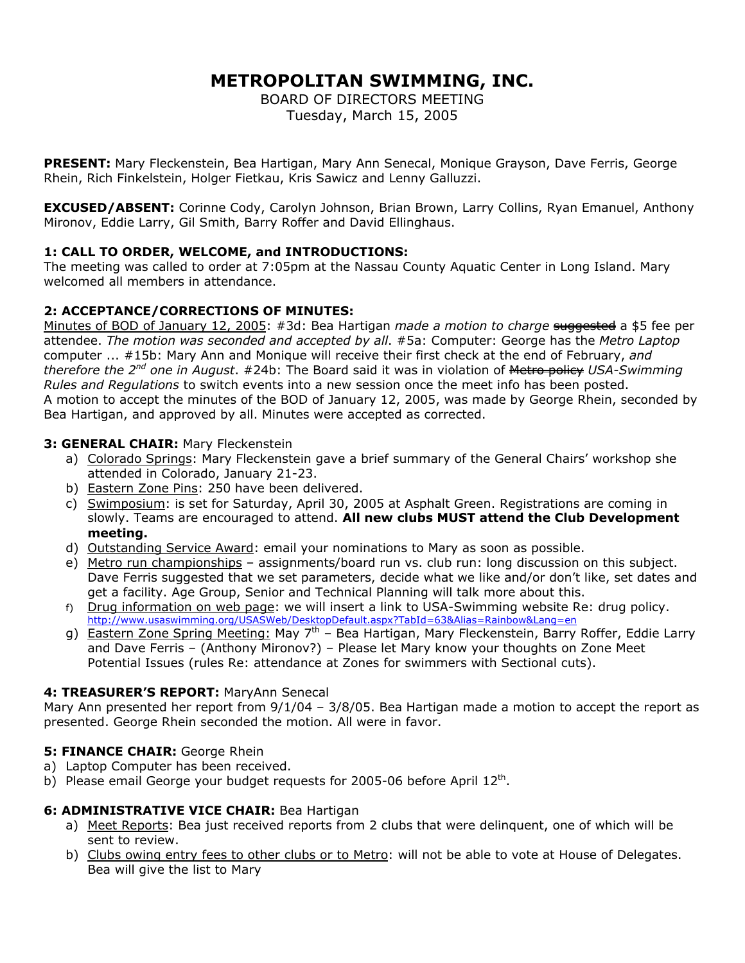# **METROPOLITAN SWIMMING, INC.**

BOARD OF DIRECTORS MEETING Tuesday, March 15, 2005

**PRESENT:** Mary Fleckenstein, Bea Hartigan, Mary Ann Senecal, Monique Grayson, Dave Ferris, George Rhein, Rich Finkelstein, Holger Fietkau, Kris Sawicz and Lenny Galluzzi.

**EXCUSED/ABSENT:** Corinne Cody, Carolyn Johnson, Brian Brown, Larry Collins, Ryan Emanuel, Anthony Mironov, Eddie Larry, Gil Smith, Barry Roffer and David Ellinghaus.

# **1: CALL TO ORDER, WELCOME, and INTRODUCTIONS:**

The meeting was called to order at 7:05pm at the Nassau County Aquatic Center in Long Island. Mary welcomed all members in attendance.

# **2: ACCEPTANCE/CORRECTIONS OF MINUTES:**

Minutes of BOD of January 12, 2005: #3d: Bea Hartigan *made a motion to charge* suggested a \$5 fee per attendee. *The motion was seconded and accepted by all*. #5a: Computer: George has the *Metro Laptop* computer ... #15b: Mary Ann and Monique will receive their first check at the end of February, *and therefore the 2nd one in August*. #24b: The Board said it was in violation of Metro policy *USA-Swimming Rules and Regulations* to switch events into a new session once the meet info has been posted. A motion to accept the minutes of the BOD of January 12, 2005, was made by George Rhein, seconded by Bea Hartigan, and approved by all. Minutes were accepted as corrected.

# **3: GENERAL CHAIR:** Mary Fleckenstein

- a) Colorado Springs: Mary Fleckenstein gave a brief summary of the General Chairs' workshop she attended in Colorado, January 21-23.
- b) Eastern Zone Pins: 250 have been delivered.
- c) Swimposium: is set for Saturday, April 30, 2005 at Asphalt Green. Registrations are coming in slowly. Teams are encouraged to attend. **All new clubs MUST attend the Club Development meeting.**
- d) Outstanding Service Award: email your nominations to Mary as soon as possible.
- e) Metro run championships assignments/board run vs. club run: long discussion on this subject. Dave Ferris suggested that we set parameters, decide what we like and/or don't like, set dates and get a facility. Age Group, Senior and Technical Planning will talk more about this.
- f) Drug information on web page: we will insert a link to USA-Swimming website Re: drug policy. <http://www.usaswimming.org/USASWeb/DesktopDefault.aspx?TabId=63&Alias=Rainbow&Lang=en>
- g) Eastern Zone Spring Meeting: May 7<sup>th</sup> Bea Hartigan, Mary Fleckenstein, Barry Roffer, Eddie Larry and Dave Ferris – (Anthony Mironov?) – Please let Mary know your thoughts on Zone Meet Potential Issues (rules Re: attendance at Zones for swimmers with Sectional cuts).

# **4: TREASURER'S REPORT:** MaryAnn Senecal

Mary Ann presented her report from 9/1/04 – 3/8/05. Bea Hartigan made a motion to accept the report as presented. George Rhein seconded the motion. All were in favor.

# **5: FINANCE CHAIR: George Rhein**

- a) Laptop Computer has been received.
- b) Please email George your budget requests for 2005-06 before April  $12<sup>th</sup>$ .

#### **6: ADMINISTRATIVE VICE CHAIR:** Bea Hartigan

- a) Meet Reports: Bea just received reports from 2 clubs that were delinquent, one of which will be sent to review.
- b) Clubs owing entry fees to other clubs or to Metro: will not be able to vote at House of Delegates. Bea will give the list to Mary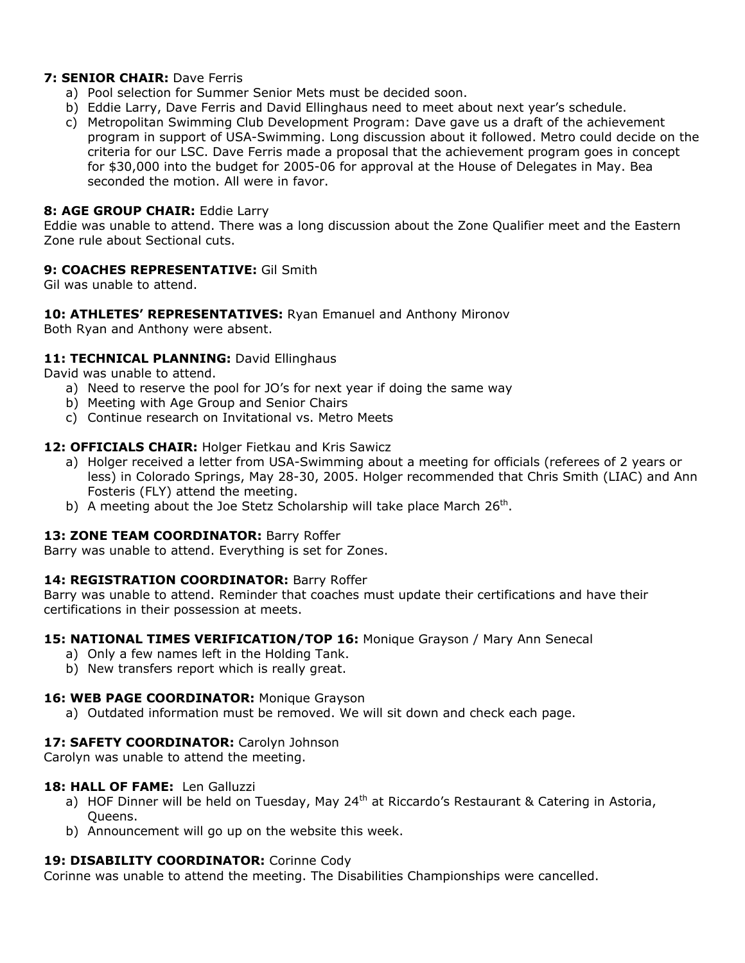# **7: SENIOR CHAIR:** Dave Ferris

- a) Pool selection for Summer Senior Mets must be decided soon.
- b) Eddie Larry, Dave Ferris and David Ellinghaus need to meet about next year's schedule.
- c) Metropolitan Swimming Club Development Program: Dave gave us a draft of the achievement program in support of USA-Swimming. Long discussion about it followed. Metro could decide on the criteria for our LSC. Dave Ferris made a proposal that the achievement program goes in concept for \$30,000 into the budget for 2005-06 for approval at the House of Delegates in May. Bea seconded the motion. All were in favor.

## **8: AGE GROUP CHAIR:** Eddie Larry

Eddie was unable to attend. There was a long discussion about the Zone Qualifier meet and the Eastern Zone rule about Sectional cuts.

## **9: COACHES REPRESENTATIVE:** Gil Smith

Gil was unable to attend.

# **10: ATHLETES' REPRESENTATIVES:** Ryan Emanuel and Anthony Mironov

Both Ryan and Anthony were absent.

## 11: TECHNICAL PLANNING: David Ellinghaus

David was unable to attend.

- a) Need to reserve the pool for JO's for next year if doing the same way
- b) Meeting with Age Group and Senior Chairs
- c) Continue research on Invitational vs. Metro Meets

## **12: OFFICIALS CHAIR:** Holger Fietkau and Kris Sawicz

- a) Holger received a letter from USA-Swimming about a meeting for officials (referees of 2 years or less) in Colorado Springs, May 28-30, 2005. Holger recommended that Chris Smith (LIAC) and Ann Fosteris (FLY) attend the meeting.
- b) A meeting about the Joe Stetz Scholarship will take place March 26<sup>th</sup>.

# 13: ZONE TEAM COORDINATOR: Barry Roffer

Barry was unable to attend. Everything is set for Zones.

#### **14: REGISTRATION COORDINATOR:** Barry Roffer

Barry was unable to attend. Reminder that coaches must update their certifications and have their certifications in their possession at meets.

#### **15: NATIONAL TIMES VERIFICATION/TOP 16:** Monique Grayson / Mary Ann Senecal

- a) Only a few names left in the Holding Tank.
- b) New transfers report which is really great.

#### 16: WEB PAGE COORDINATOR: Monique Grayson

a) Outdated information must be removed. We will sit down and check each page.

# 17: SAFETY COORDINATOR: Carolyn Johnson

Carolyn was unable to attend the meeting.

#### **18: HALL OF FAME:** Len Galluzzi

- a) HOF Dinner will be held on Tuesday, May 24<sup>th</sup> at Riccardo's Restaurant & Catering in Astoria, Queens.
- b) Announcement will go up on the website this week.

#### **19: DISABILITY COORDINATOR:** Corinne Cody

Corinne was unable to attend the meeting. The Disabilities Championships were cancelled.